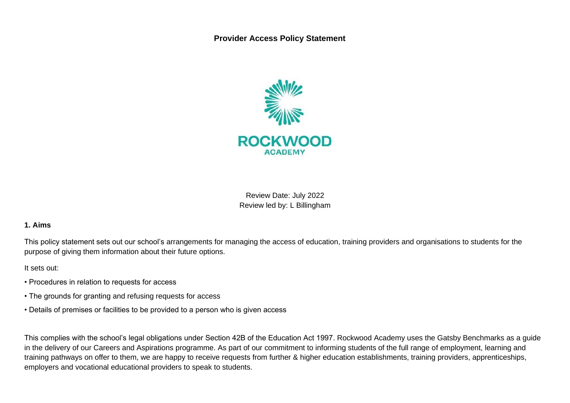**Provider Access Policy Statement**



Review Date: July 2022 Review led by: L Billingham

#### **1. Aims**

This policy statement sets out our school's arrangements for managing the access of education, training providers and organisations to students for the purpose of giving them information about their future options.

It sets out:

- Procedures in relation to requests for access
- The grounds for granting and refusing requests for access
- Details of premises or facilities to be provided to a person who is given access

This complies with the school's legal obligations under Section 42B of the Education Act 1997. Rockwood Academy uses the Gatsby Benchmarks as a guide in the delivery of our Careers and Aspirations programme. As part of our commitment to informing students of the full range of employment, learning and training pathways on offer to them, we are happy to receive requests from further & higher education establishments, training providers, apprenticeships, employers and vocational educational providers to speak to students.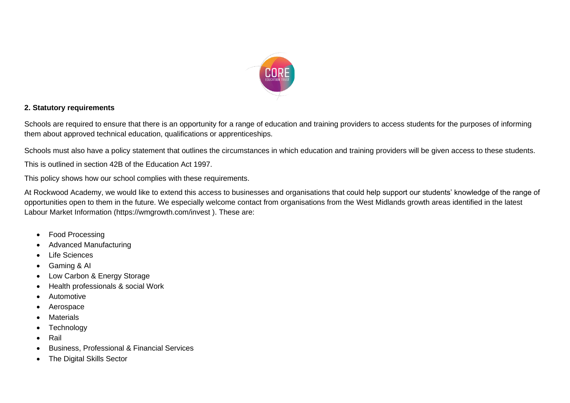

### **2. Statutory requirements**

Schools are required to ensure that there is an opportunity for a range of education and training providers to access students for the purposes of informing them about approved technical education, qualifications or apprenticeships.

Schools must also have a policy statement that outlines the circumstances in which education and training providers will be given access to these students.

This is outlined in section 42B of the Education Act 1997.

This policy shows how our school complies with these requirements.

At Rockwood Academy, we would like to extend this access to businesses and organisations that could help support our students' knowledge of the range of opportunities open to them in the future. We especially welcome contact from organisations from the West Midlands growth areas identified in the latest Labour Market Information (https://wmgrowth.com/invest ). These are:

- Food Processing
- Advanced Manufacturing
- Life Sciences
- Gaming & AI
- Low Carbon & Energy Storage
- Health professionals & social Work
- **Automotive**
- **Aerospace**
- **Materials**
- **Technology**
- Rail
- Business, Professional & Financial Services
- The Digital Skills Sector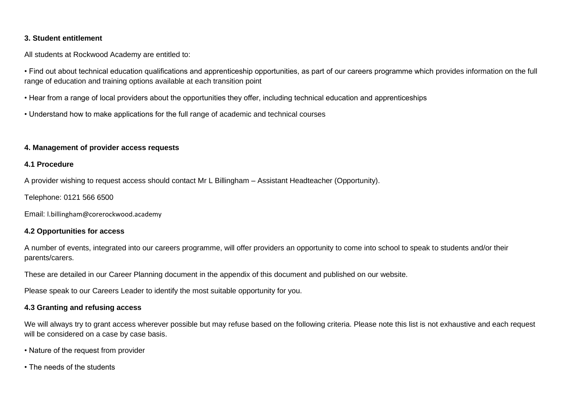### **3. Student entitlement**

All students at Rockwood Academy are entitled to:

• Find out about technical education qualifications and apprenticeship opportunities, as part of our careers programme which provides information on the full range of education and training options available at each transition point

• Hear from a range of local providers about the opportunities they offer, including technical education and apprenticeships

• Understand how to make applications for the full range of academic and technical courses

### **4. Management of provider access requests**

### **4.1 Procedure**

A provider wishing to request access should contact Mr L Billingham – Assistant Headteacher (Opportunity).

Telephone: 0121 566 6500

Email: l.billingham@corerockwood.academy

### **4.2 Opportunities for access**

A number of events, integrated into our careers programme, will offer providers an opportunity to come into school to speak to students and/or their parents/carers.

These are detailed in our Career Planning document in the appendix of this document and published on our website.

Please speak to our Careers Leader to identify the most suitable opportunity for you.

### **4.3 Granting and refusing access**

We will always try to grant access wherever possible but may refuse based on the following criteria. Please note this list is not exhaustive and each request will be considered on a case by case basis.

- Nature of the request from provider
- The needs of the students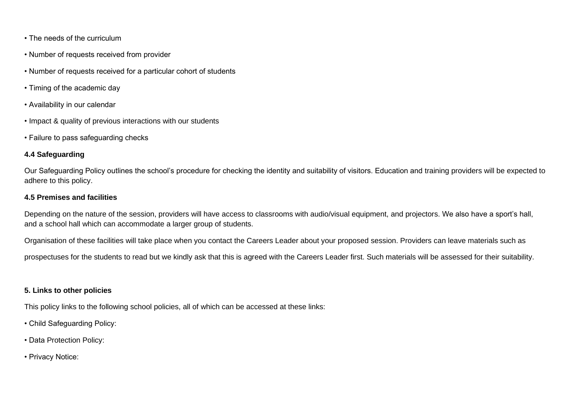- The needs of the curriculum
- Number of requests received from provider
- Number of requests received for a particular cohort of students
- Timing of the academic day
- Availability in our calendar
- Impact & quality of previous interactions with our students
- Failure to pass safeguarding checks

# **4.4 Safeguarding**

Our Safeguarding Policy outlines the school's procedure for checking the identity and suitability of visitors. Education and training providers will be expected to adhere to this policy.

### **4.5 Premises and facilities**

Depending on the nature of the session, providers will have access to classrooms with audio/visual equipment, and projectors. We also have a sport's hall, and a school hall which can accommodate a larger group of students.

Organisation of these facilities will take place when you contact the Careers Leader about your proposed session. Providers can leave materials such as

prospectuses for the students to read but we kindly ask that this is agreed with the Careers Leader first. Such materials will be assessed for their suitability.

# **5. Links to other policies**

This policy links to the following school policies, all of which can be accessed at these links:

- Child Safeguarding Policy:
- Data Protection Policy:
- Privacy Notice: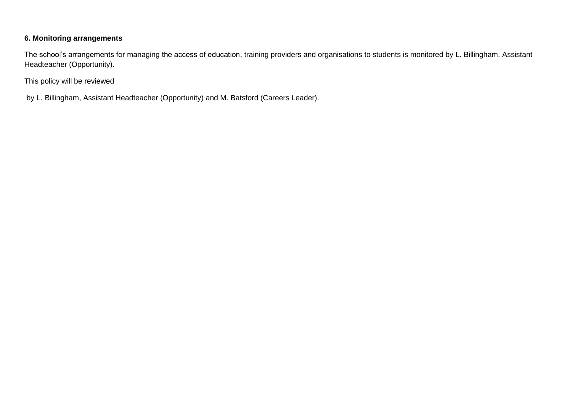# **6. Monitoring arrangements**

The school's arrangements for managing the access of education, training providers and organisations to students is monitored by L. Billingham, Assistant Headteacher (Opportunity).

This policy will be reviewed

by L. Billingham, Assistant Headteacher (Opportunity) and M. Batsford (Careers Leader).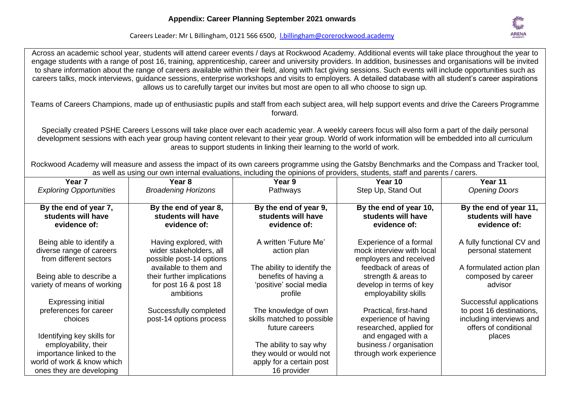Across an academic school year, students will attend career events / days at Rockwood Academy. Additional events will take place throughout the year to



Careers Leader: Mr L Billingham, 0121 566 6500, [l.billingham@corerockwood.academy](mailto:l.billingham@corerockwood.academy)

engage students with a range of post 16, training, apprenticeship, career and university providers. In addition, businesses and organisations will be invited to share information about the range of careers available within their field, along with fact giving sessions. Such events will include opportunities such as careers talks, mock interviews, guidance sessions, enterprise workshops and visits to employers. A detailed database with all student's career aspirations allows us to carefully target our invites but most are open to all who choose to sign up. Teams of Careers Champions, made up of enthusiastic pupils and staff from each subject area, will help support events and drive the Careers Programme forward. Specially created PSHE Careers Lessons will take place over each academic year. A weekly careers focus will also form a part of the daily personal development sessions with each year group having content relevant to their year group. World of work information will be embedded into all curriculum areas to support students in linking their learning to the world of work. Rockwood Academy will measure and assess the impact of its own careers programme using the Gatsby Benchmarks and the Compass and Tracker tool, as well as using our own internal evaluations, including the opinions of providers, students, staff and parents / carers. **Year 7** *Exploring Opportunities*  **Year 8** *Broadening Horizons* **Year 9** Pathways **Year 10** Step Up, Stand Out **Year 11** *Opening Doors* **By the end of year 7, students will have evidence of:** Being able to identify a diverse range of careers from different sectors Being able to describe a variety of means of working Expressing initial preferences for career choices Identifying key skills for employability, their importance linked to the world of work & know which ones they are developing **By the end of year 8, students will have evidence of:** Having explored, with wider stakeholders, all possible post-14 options available to them and their further implications for post 16 & post 18 ambitions Successfully completed post-14 options process **By the end of year 9, students will have evidence of:** A written 'Future Me' action plan The ability to identify the benefits of having a 'positive' social media profile The knowledge of own skills matched to possible future careers The ability to say why they would or would not apply for a certain post 16 provider **By the end of year 10, students will have evidence of:** Experience of a formal mock interview with local employers and received feedback of areas of strength & areas to develop in terms of key employability skills Practical, first-hand experience of having researched, applied for and engaged with a business / organisation through work experience **By the end of year 11, students will have evidence of:** A fully functional CV and personal statement A formulated action plan composed by career advisor Successful applications to post 16 destinations, including interviews and offers of conditional places